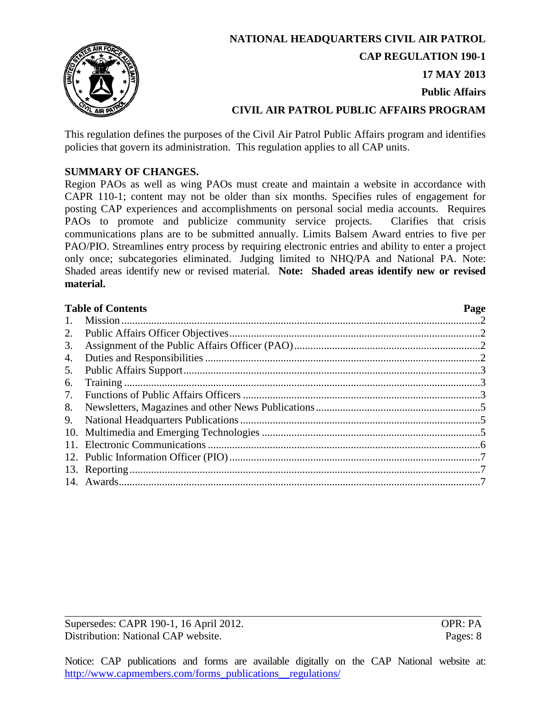

**NATIONAL HEADQUARTERS CIVIL AIR PATROL CAP REGULATION 190-1 17 MAY 2013 Public Affairs CIVIL AIR PATROL PUBLIC AFFAIRS PROGRAM**

This regulation defines the purposes of the Civil Air Patrol Public Affairs program and identifies policies that govern its administration. This regulation applies to all CAP units.

# **SUMMARY OF CHANGES.**

Region PAOs as well as wing PAOs must create and maintain a website in accordance with CAPR 110-1; content may not be older than six months. Specifies rules of engagement for posting CAP experiences and accomplishments on personal social media accounts. Requires PAOs to promote and publicize community service projects. Clarifies that crisis communications plans are to be submitted annually. Limits Balsem Award entries to five per PAO/PIO. Streamlines entry process by requiring electronic entries and ability to enter a project only once; subcategories eliminated. Judging limited to NHQ/PA and National PA. Note: Shaded areas identify new or revised material. **Note: Shaded areas identify new or revised material.** 

| 1. |  |
|----|--|
| 2. |  |
| 3. |  |
| 4. |  |
| 5. |  |
| 6. |  |
| 7. |  |
| 8. |  |
| 9. |  |
|    |  |
|    |  |
|    |  |
|    |  |
|    |  |

Supersedes: CAPR 190-1, 16 April 2012. OPR: PA Distribution: National CAP website. Pages: 8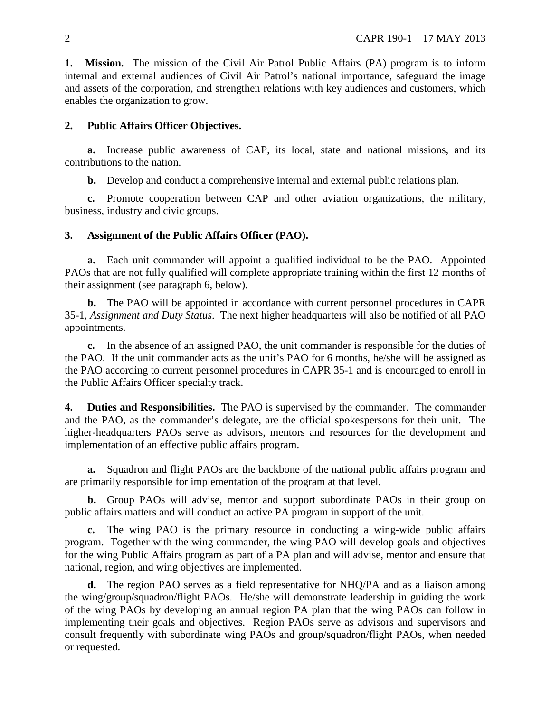<span id="page-1-0"></span>**1. Mission.** The mission of the Civil Air Patrol Public Affairs (PA) program is to inform internal and external audiences of Civil Air Patrol's national importance, safeguard the image and assets of the corporation, and strengthen relations with key audiences and customers, which enables the organization to grow.

### <span id="page-1-1"></span>**2. Public Affairs Officer Objectives.**

**a.** Increase public awareness of CAP, its local, state and national missions, and its contributions to the nation.

**b.** Develop and conduct a comprehensive internal and external public relations plan.

**c.** Promote cooperation between CAP and other aviation organizations, the military, business, industry and civic groups.

### <span id="page-1-2"></span>**3. Assignment of the Public Affairs Officer (PAO).**

**a.** Each unit commander will appoint a qualified individual to be the PAO. Appointed PAOs that are not fully qualified will complete appropriate training within the first 12 months of their assignment (see paragraph 6, below).

**b.** The PAO will be appointed in accordance with current personnel procedures in CAPR 35-1, *Assignment and Duty Status*. The next higher headquarters will also be notified of all PAO appointments.

**c.** In the absence of an assigned PAO, the unit commander is responsible for the duties of the PAO. If the unit commander acts as the unit's PAO for 6 months, he/she will be assigned as the PAO according to current personnel procedures in CAPR 35-1 and is encouraged to enroll in the Public Affairs Officer specialty track.

<span id="page-1-3"></span>**4. Duties and Responsibilities.** The PAO is supervised by the commander. The commander and the PAO, as the commander's delegate, are the official spokespersons for their unit. The higher-headquarters PAOs serve as advisors, mentors and resources for the development and implementation of an effective public affairs program.

**a.** Squadron and flight PAOs are the backbone of the national public affairs program and are primarily responsible for implementation of the program at that level.

**b.** Group PAOs will advise, mentor and support subordinate PAOs in their group on public affairs matters and will conduct an active PA program in support of the unit.

**c.** The wing PAO is the primary resource in conducting a wing-wide public affairs program. Together with the wing commander, the wing PAO will develop goals and objectives for the wing Public Affairs program as part of a PA plan and will advise, mentor and ensure that national, region, and wing objectives are implemented.

**d.** The region PAO serves as a field representative for NHQ/PA and as a liaison among the wing/group/squadron/flight PAOs. He/she will demonstrate leadership in guiding the work of the wing PAOs by developing an annual region PA plan that the wing PAOs can follow in implementing their goals and objectives. Region PAOs serve as advisors and supervisors and consult frequently with subordinate wing PAOs and group/squadron/flight PAOs, when needed or requested.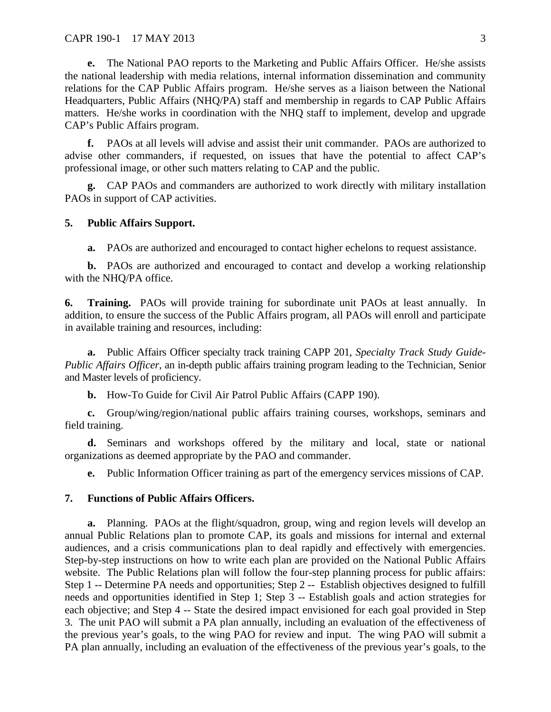**e.** The National PAO reports to the Marketing and Public Affairs Officer. He/she assists the national leadership with media relations, internal information dissemination and community relations for the CAP Public Affairs program. He/she serves as a liaison between the National Headquarters, Public Affairs (NHQ/PA) staff and membership in regards to CAP Public Affairs matters. He/she works in coordination with the NHQ staff to implement, develop and upgrade CAP's Public Affairs program.

**f.** PAOs at all levels will advise and assist their unit commander. PAOs are authorized to advise other commanders, if requested, on issues that have the potential to affect CAP's professional image, or other such matters relating to CAP and the public.

**g.** CAP PAOs and commanders are authorized to work directly with military installation PAOs in support of CAP activities.

### <span id="page-2-0"></span>**5. Public Affairs Support.**

**a.** PAOs are authorized and encouraged to contact higher echelons to request assistance.

**b.** PAOs are authorized and encouraged to contact and develop a working relationship with the NHQ/PA office.

<span id="page-2-1"></span>**6. Training.** PAOs will provide training for subordinate unit PAOs at least annually. In addition, to ensure the success of the Public Affairs program, all PAOs will enroll and participate in available training and resources, including:

**a.** Public Affairs Officer specialty track training CAPP 201, *Specialty Track Study Guide-Public Affairs Officer*, an in-depth public affairs training program leading to the Technician, Senior and Master levels of proficiency.

**b.** How-To Guide for Civil Air Patrol Public Affairs (CAPP 190).

**c.** Group/wing/region/national public affairs training courses, workshops, seminars and field training.

**d.** Seminars and workshops offered by the military and local, state or national organizations as deemed appropriate by the PAO and commander.

**e.** Public Information Officer training as part of the emergency services missions of CAP.

#### <span id="page-2-2"></span>**7. Functions of Public Affairs Officers.**

**a.** Planning. PAOs at the flight/squadron, group, wing and region levels will develop an annual Public Relations plan to promote CAP, its goals and missions for internal and external audiences, and a crisis communications plan to deal rapidly and effectively with emergencies. Step-by-step instructions on how to write each plan are provided on the National Public Affairs website. The Public Relations plan will follow the four-step planning process for public affairs: Step 1 -- Determine PA needs and opportunities; Step 2 -- Establish objectives designed to fulfill needs and opportunities identified in Step 1; Step 3 -- Establish goals and action strategies for each objective; and Step 4 -- State the desired impact envisioned for each goal provided in Step 3. The unit PAO will submit a PA plan annually, including an evaluation of the effectiveness of the previous year's goals, to the wing PAO for review and input. The wing PAO will submit a PA plan annually, including an evaluation of the effectiveness of the previous year's goals, to the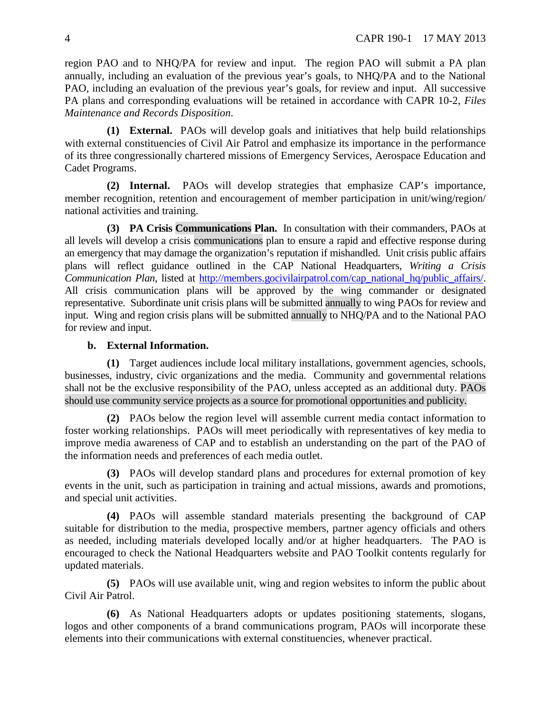region PAO and to NHQ/PA for review and input. The region PAO will submit a PA plan annually, including an evaluation of the previous year's goals, to NHQ/PA and to the National PAO, including an evaluation of the previous year's goals, for review and input. All successive PA plans and corresponding evaluations will be retained in accordance with CAPR 10-2, *Files Maintenance and Records Disposition*.

**(1) External.** PAOs will develop goals and initiatives that help build relationships with external constituencies of Civil Air Patrol and emphasize its importance in the performance of its three congressionally chartered missions of Emergency Services, Aerospace Education and Cadet Programs.

**(2) Internal.** PAOs will develop strategies that emphasize CAP's importance, member recognition, retention and encouragement of member participation in unit/wing/region/ national activities and training.

**(3) PA Crisis Communications Plan.** In consultation with their commanders, PAOs at all levels will develop a crisis communications plan to ensure a rapid and effective response during an emergency that may damage the organization's reputation if mishandled. Unit crisis public affairs plans will reflect guidance outlined in the CAP National Headquarters, *Writing a Crisis Communication Plan*, listed at [http://members.gocivilairpatrol.com/cap\\_national\\_hq/public\\_affairs/.](http://members.gocivilairpatrol.com/cap_national_hq/public_affairs/) All crisis communication plans will be approved by the wing commander or designated representative. Subordinate unit crisis plans will be submitted annually to wing PAOs for review and input. Wing and region crisis plans will be submitted annually to NHQ/PA and to the National PAO for review and input.

## **b. External Information.**

**(1)** Target audiences include local military installations, government agencies, schools, businesses, industry, civic organizations and the media. Community and governmental relations shall not be the exclusive responsibility of the PAO, unless accepted as an additional duty. PAOs should use community service projects as a source for promotional opportunities and publicity.

**(2)** PAOs below the region level will assemble current media contact information to foster working relationships. PAOs will meet periodically with representatives of key media to improve media awareness of CAP and to establish an understanding on the part of the PAO of the information needs and preferences of each media outlet.

**(3)** PAOs will develop standard plans and procedures for external promotion of key events in the unit, such as participation in training and actual missions, awards and promotions, and special unit activities.

**(4)** PAOs will assemble standard materials presenting the background of CAP suitable for distribution to the media, prospective members, partner agency officials and others as needed, including materials developed locally and/or at higher headquarters. The PAO is encouraged to check the National Headquarters website and PAO Toolkit contents regularly for updated materials.

**(5)** PAOs will use available unit, wing and region websites to inform the public about Civil Air Patrol.

**(6)** As National Headquarters adopts or updates positioning statements, slogans, logos and other components of a brand communications program, PAOs will incorporate these elements into their communications with external constituencies, whenever practical.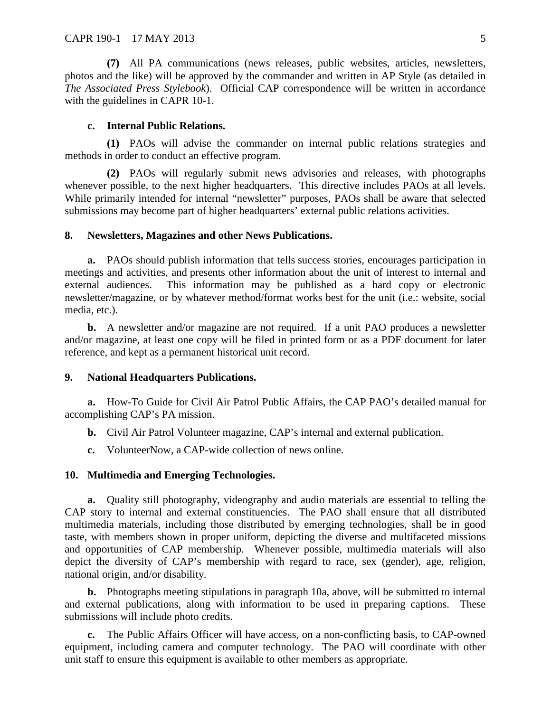**(7)** All PA communications (news releases, public websites, articles, newsletters, photos and the like) will be approved by the commander and written in AP Style (as detailed in *The Associated Press Stylebook*). Official CAP correspondence will be written in accordance with the guidelines in CAPR 10-1.

#### **c. Internal Public Relations.**

**(1)** PAOs will advise the commander on internal public relations strategies and methods in order to conduct an effective program.

**(2)** PAOs will regularly submit news advisories and releases, with photographs whenever possible, to the next higher headquarters. This directive includes PAOs at all levels. While primarily intended for internal "newsletter" purposes, PAOs shall be aware that selected submissions may become part of higher headquarters' external public relations activities.

#### <span id="page-4-0"></span>**8. Newsletters, Magazines and other News Publications.**

**a.** PAOs should publish information that tells success stories, encourages participation in meetings and activities, and presents other information about the unit of interest to internal and external audiences. This information may be published as a hard copy or electronic newsletter/magazine, or by whatever method/format works best for the unit (i.e.: website, social media, etc.).

**b.** A newsletter and/or magazine are not required.If a unit PAO produces a newsletter and/or magazine, at least one copy will be filed in printed form or as a PDF document for later reference, and kept as a permanent historical unit record.

## <span id="page-4-1"></span>**9. National Headquarters Publications.**

**a.** How-To Guide for Civil Air Patrol Public Affairs, the CAP PAO's detailed manual for accomplishing CAP's PA mission.

- **b.** Civil Air Patrol Volunteer magazine, CAP's internal and external publication.
- **c.** VolunteerNow, a CAP-wide collection of news online.

#### <span id="page-4-2"></span>**10. Multimedia and Emerging Technologies.**

**a.** Quality still photography, videography and audio materials are essential to telling the CAP story to internal and external constituencies. The PAO shall ensure that all distributed multimedia materials, including those distributed by emerging technologies, shall be in good taste, with members shown in proper uniform, depicting the diverse and multifaceted missions and opportunities of CAP membership. Whenever possible, multimedia materials will also depict the diversity of CAP's membership with regard to race, sex (gender), age, religion, national origin, and/or disability.

**b.** Photographs meeting stipulations in paragraph 10a, above, will be submitted to internal and external publications, along with information to be used in preparing captions. These submissions will include photo credits.

**c.** The Public Affairs Officer will have access, on a non-conflicting basis, to CAP-owned equipment, including camera and computer technology. The PAO will coordinate with other unit staff to ensure this equipment is available to other members as appropriate.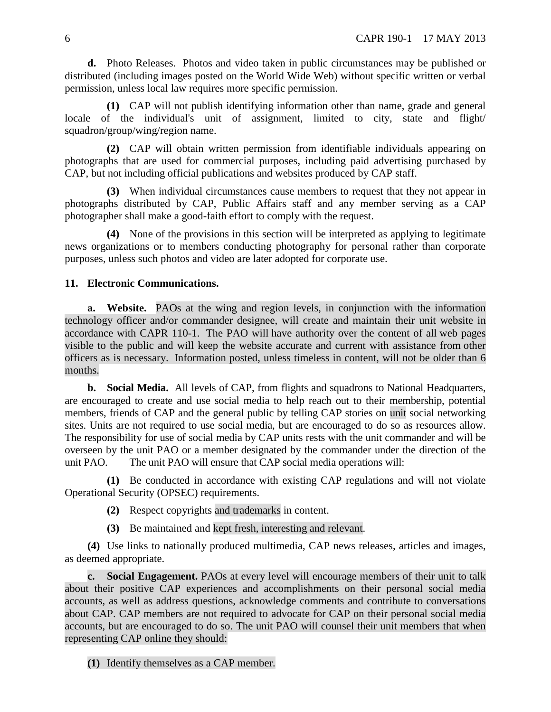**d.** Photo Releases. Photos and video taken in public circumstances may be published or distributed (including images posted on the World Wide Web) without specific written or verbal permission, unless local law requires more specific permission.

**(1)** CAP will not publish identifying information other than name, grade and general locale of the individual's unit of assignment, limited to city, state and flight/ squadron/group/wing/region name.

**(2)** CAP will obtain written permission from identifiable individuals appearing on photographs that are used for commercial purposes, including paid advertising purchased by CAP, but not including official publications and websites produced by CAP staff.

**(3)** When individual circumstances cause members to request that they not appear in photographs distributed by CAP, Public Affairs staff and any member serving as a CAP photographer shall make a good-faith effort to comply with the request.

**(4)** None of the provisions in this section will be interpreted as applying to legitimate news organizations or to members conducting photography for personal rather than corporate purposes, unless such photos and video are later adopted for corporate use.

## <span id="page-5-0"></span>**11. Electronic Communications.**

**a. Website.** PAOs at the wing and region levels, in conjunction with the information technology officer and/or commander designee, will create and maintain their unit website in accordance with CAPR 110-1. The PAO will have authority over the content of all web pages visible to the public and will keep the website accurate and current with assistance from other officers as is necessary. Information posted, unless timeless in content, will not be older than 6 months.

**b. Social Media.** All levels of CAP, from flights and squadrons to National Headquarters, are encouraged to create and use social media to help reach out to their membership, potential members, friends of CAP and the general public by telling CAP stories on unit social networking sites. Units are not required to use social media, but are encouraged to do so as resources allow. The responsibility for use of social media by CAP units rests with the unit commander and will be overseen by the unit PAO or a member designated by the commander under the direction of the unit PAO. The unit PAO will ensure that CAP social media operations will:

**(1)** Be conducted in accordance with existing CAP regulations and will not violate Operational Security (OPSEC) requirements.

- **(2)** Respect copyrights and trademarks in content.
- **(3)** Be maintained and kept fresh, interesting and relevant.

**(4)** Use links to nationally produced multimedia, CAP news releases, articles and images, as deemed appropriate.

**c. Social Engagement.** PAOs at every level will encourage members of their unit to talk about their positive CAP experiences and accomplishments on their personal social media accounts, as well as address questions, acknowledge comments and contribute to conversations about CAP. CAP members are not required to advocate for CAP on their personal social media accounts, but are encouraged to do so. The unit PAO will counsel their unit members that when representing CAP online they should:

**(1)** Identify themselves as a CAP member.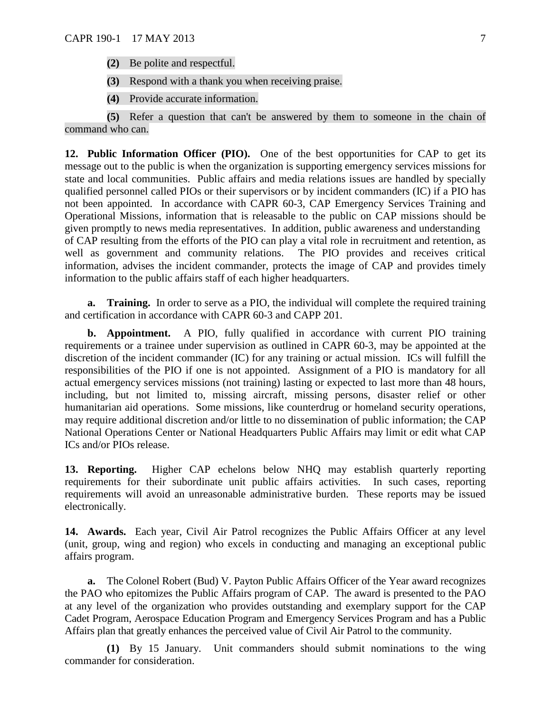- **(2)** Be polite and respectful.
- **(3)** Respond with a thank you when receiving praise.
- **(4)** Provide accurate information.

**(5)** Refer a question that can't be answered by them to someone in the chain of command who can.

<span id="page-6-0"></span>**12. Public Information Officer (PIO).** One of the best opportunities for CAP to get its message out to the public is when the organization is supporting emergency services missions for state and local communities. Public affairs and media relations issues are handled by specially qualified personnel called PIOs or their supervisors or by incident commanders (IC) if a PIO has not been appointed. In accordance with CAPR 60-3, CAP Emergency Services Training and Operational Missions, information that is releasable to the public on CAP missions should be given promptly to news media representatives. In addition, public awareness and understanding of CAP resulting from the efforts of the PIO can play a vital role in recruitment and retention, as well as government and community relations. The PIO provides and receives critical information, advises the incident commander, protects the image of CAP and provides timely information to the public affairs staff of each higher headquarters.

**a. Training.** In order to serve as a PIO, the individual will complete the required training and certification in accordance with CAPR 60-3 and CAPP 201.

**b. Appointment.** A PIO, fully qualified in accordance with current PIO training requirements or a trainee under supervision as outlined in CAPR 60-3, may be appointed at the discretion of the incident commander (IC) for any training or actual mission. ICs will fulfill the responsibilities of the PIO if one is not appointed. Assignment of a PIO is mandatory for all actual emergency services missions (not training) lasting or expected to last more than 48 hours, including, but not limited to, missing aircraft, missing persons, disaster relief or other humanitarian aid operations. Some missions, like counterdrug or homeland security operations, may require additional discretion and/or little to no dissemination of public information; the CAP National Operations Center or National Headquarters Public Affairs may limit or edit what CAP ICs and/or PIOs release.

<span id="page-6-1"></span>**13. Reporting.** Higher CAP echelons below NHQ may establish quarterly reporting requirements for their subordinate unit public affairs activities. In such cases, reporting requirements will avoid an unreasonable administrative burden. These reports may be issued electronically.

<span id="page-6-2"></span>**14. Awards.** Each year, Civil Air Patrol recognizes the Public Affairs Officer at any level (unit, group, wing and region) who excels in conducting and managing an exceptional public affairs program.

**a.** The Colonel Robert (Bud) V. Payton Public Affairs Officer of the Year award recognizes the PAO who epitomizes the Public Affairs program of CAP. The award is presented to the PAO at any level of the organization who provides outstanding and exemplary support for the CAP Cadet Program, Aerospace Education Program and Emergency Services Program and has a Public Affairs plan that greatly enhances the perceived value of Civil Air Patrol to the community.

**(1)** By 15 January. Unit commanders should submit nominations to the wing commander for consideration.